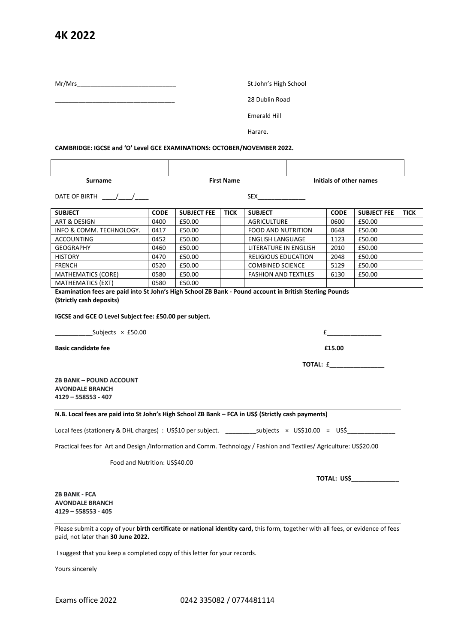## **4K 2022**

Mr/Mrs\_\_\_\_\_\_\_\_\_\_\_\_\_\_\_\_\_\_\_\_\_\_\_\_\_\_\_\_\_ St John's High School

\_\_\_\_\_\_\_\_\_\_\_\_\_\_\_\_\_\_\_\_\_\_\_\_\_\_\_\_\_\_\_\_\_\_\_ 28 Dublin Road

Emerald Hill

Harare.

**CAMBRIDGE: IGCSE and 'O' Level GCE EXAMINATIONS: OCTOBER/NOVEMBER 2022.**

| urname | <b>First Name</b> | Initials of other names |
|--------|-------------------|-------------------------|

DATE OF BIRTH \_\_\_\_/\_\_\_\_/\_\_\_\_ SEX\_\_\_\_\_\_\_\_\_\_\_\_\_\_

| <b>SUBJECT</b>            | <b>CODE</b> | <b>SUBJECT FEE</b> | <b>TICK</b> | <b>SUBJECT</b>              | <b>CODE</b> | <b>SUBJECT FEE</b> | <b>TICK</b> |
|---------------------------|-------------|--------------------|-------------|-----------------------------|-------------|--------------------|-------------|
| ART & DESIGN              | 0400        | £50.00             |             | <b>AGRICULTURE</b>          | 0600        | £50.00             |             |
| INFO & COMM. TECHNOLOGY.  | 0417        | £50.00             |             | <b>FOOD AND NUTRITION</b>   | 0648        | £50.00             |             |
| <b>ACCOUNTING</b>         | 0452        | £50.00             |             | <b>ENGLISH LANGUAGE</b>     | 1123        | £50.00             |             |
| <b>GEOGRAPHY</b>          | 0460        | £50.00             |             | LITERATURE IN ENGLISH       | 2010        | £50.00             |             |
| <b>HISTORY</b>            | 0470        | £50.00             |             | <b>RELIGIOUS EDUCATION</b>  | 2048        | £50.00             |             |
| <b>FRENCH</b>             | 0520        | £50.00             |             | <b>COMBINED SCIENCE</b>     | 5129        | £50.00             |             |
| <b>MATHEMATICS (CORE)</b> | 0580        | £50.00             |             | <b>FASHION AND TEXTILES</b> | 6130        | £50.00             |             |
| <b>MATHEMATICS (EXT)</b>  | 0580        | £50.00             |             |                             |             |                    |             |

**Examination fees are paid into St John's High School ZB Bank - Pound account in British Sterling Pounds (Strictly cash deposits)**

**IGCSE and GCE O Level Subject fee: £50.00 per subject.**

Subjects  $\times$  £50.00  $\qquad \qquad$  £ **Basic candidate fee E15.00 TOTAL:** £\_\_\_\_\_\_\_\_\_\_\_\_\_\_\_\_ **ZB BANK – POUND ACCOUNT AVONDALE BRANCH 4129 – 558553 - 407 N.B. Local fees are paid into St John's High School ZB Bank – FCA in US\$ (Strictly cash payments)** Local fees (stationery & DHL charges) : US\$10 per subject. \_\_\_\_\_\_\_\_\_\_\_\_\_\_\_\_\_\_\_\_\_\_<br>subjects x US\$10.00 = US\$ Practical fees for Art and Design /Information and Comm. Technology / Fashion and Textiles/ Agriculture: US\$20.00 Food and Nutrition: US\$40.00

 **TOTAL: US\$**\_\_\_\_\_\_\_\_\_\_\_\_\_\_

**ZB BANK - FCA AVONDALE BRANCH 4129 – 558553 - 405**

Please submit a copy of your **birth certificate or national identity card,** this form, together with all fees, or evidence of fees paid, not later than **30 June 2022.**

I suggest that you keep a completed copy of this letter for your records.

Yours sincerely